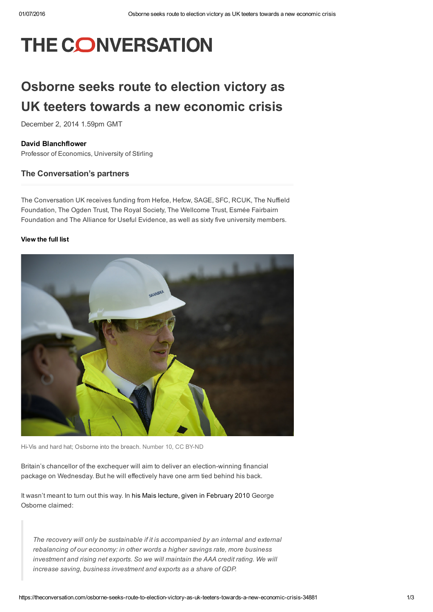# THE CONVERSATION

## Osborne seeks route to election victory as UK teeters towards a new economic crisis

December 2, 2014 1.59pm GMT

#### David [Blanchflower](https://theconversation.com/profiles/david-blanchflower-146777)

Professor of Economics, University of Stirling

#### The Conversation's partners

The Conversation UK receives funding from Hefce, Hefcw, SAGE, SFC, RCUK, The Nuffield Foundation, The Ogden Trust, The Royal Society, The Wellcome Trust, Esmée Fairbairn Foundation and The Alliance for Useful Evidence, as well as sixty five university members.

#### [View](https://theconversation.com/uk/partners) the full list



Hi-Vis and hard hat; Osborne into the breach. [Number](https://www.flickr.com/photos/number10gov/13980759924/in/photolist-nir3QU-ni7waD-ni7qLU-nkaiKH-ngmsbA-ni7pLC-nkaidk-ngmrWC-9TZ2AW-9oSLsd-7iaxz7-c9fey5-fLiK9m-pSz6jV-pSza3B-84APHQ-q9ZjVg-8crMr6-bEPUFR-8kfTLj-7Zsyyr-brV2fS-brV22W-brV2pA-brV1Ts-brV1Ls-brV2WA-bEPUtX-8SgJLZ-oNU1pL-jonjpU-8S2isp-8S2isn-joj6wp-jDk173-8cv88S-jom8Mm-jDiNBv-jDjYxG-8S2isk-8cv8zJ-8kuL3E-bHCYKT-9oNDor-9oNDGt-azJGYW-azJHw1-azG3DF-azG5te-azG3Xp) 10, CC BY-ND

Britain's chancellor of the exchequer will aim to deliver an election-winning financial package on Wednesday. But he will effectively have one arm tied behind his back.

It wasn't meant to turn out this way. In his Mais lecture, given in [February](http://www.totalpolitics.com/print/speeches/35193/george-osborne-mais-lecture-a-new-economic-model.thtml) 2010 George Osborne claimed:

*The recovery will only be sustainable if it is accompanied by an internal and external rebalancing of our economy: in other words a higher savings rate, more business investment and rising net exports. So we will maintain the AAA credit rating. We will increase saving, business investment and exports as a share of GDP.*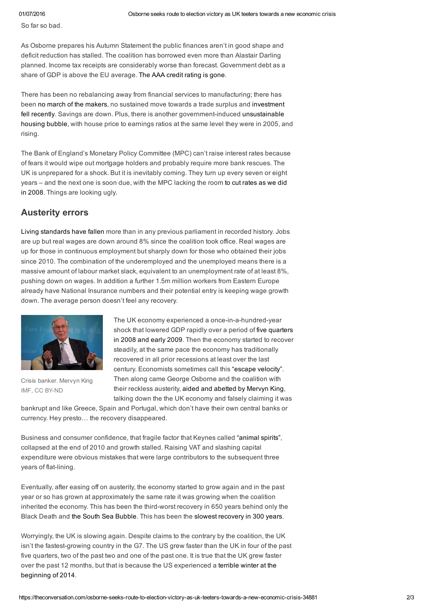So far so bad.

As Osborne prepares his Autumn Statement the public finances aren't in good shape and deficit reduction has stalled. The coalition has borrowed even more than Alastair Darling planned. Income tax receipts are considerably worse than forecast. Government debt as a share of GDP is above the EU average. The AAA credit [rating](http://www.bbc.co.uk/news/business-21554311) is gone.

There has been no rebalancing away from financial services to manufacturing; there has been no march of the [makers,](http://www.telegraph.co.uk/finance/budget/8401022/Budget-2011-Chancellor-George-Osbornes-speech-in-full.html) no sustained move towards a trade surplus and investment fell recently. Savings are down. Plus, there is another government-induced unsustainable housing bubble, with house price to earnings ratios at the same level they were in 2005, and rising.

The Bank of England's Monetary Policy Committee (MPC) can't raise interest rates because of fears it would wipe out mortgage holders and probably require more bank rescues. The UK is unprepared for a shock. But it is inevitably coming. They turn up every seven or eight years – and the next one is soon due, with the MPC lacking the room to cut rates as we did in 2008. Things are [looking](http://www.bbc.co.uk/news/business-11013715) ugly.

#### Austerity errors

Living [standards](http://www.theguardian.com/business/2014/sep/30/fall-uk-living-standards-deeper-ons-tuc) have fallen more than in any previous parliament in recorded history. Jobs are up but real wages are down around 8% since the coalition took office. Real wages are up for those in continuous employment but sharply down for those who obtained their jobs since 2010. The combination of the underemployed and the unemployed means there is a massive amount of labour market slack, equivalent to an unemployment rate of at least 8%, pushing down on wages. In addition a further 1.5m million workers from Eastern Europe already have National Insurance numbers and their potential entry is keeping wage growth down. The average person doesn't feel any recovery.



Crisis banker. Mervyn King [IMF](https://www.flickr.com/photos/imfphoto/8655576649/in/photolist-dH7jZF-adRp6C-ebS6oa-hWB2Ar-hWB2S8-hWCMwc-hWxsjf-hWxst3-7YvVvi-7YvVAZ-5AQPMk-6TbYhK-dxPKeg-a9jKvA-a9gVGa-a9jHsw-a9gVyx-a9jJJ5-a9jLHy-a9jHdm-a9gVfK-a9jLaN-a9gX6z-8Xx94i-81rvf9-BiGE-9iF8e7-a9jKHE-6TbYcg-fFQuv5-9deYWH-aRUHXn-6s3b56-6TfYMm-eYow58-g4b6e-6TfYGd-dQUNCY-6TfYiG-6TfYD9-6TfYn9-6TbXTF-6TbX38-6TfY3G-6TfY93-6TfXyE-dwbVFu-6TbXiv-aGddXD-aFo43G), CC BY-ND

The UK economy experienced a once-in-a-hundred-year shock that lowered GDP rapidly over a period of five quarters in 2008 and early 2009. Then the [economy](http://www.bbc.co.uk/news/10613201) started to recover steadily, at the same pace the economy has traditionally recovered in all prior recessions at least over the last century. Economists sometimes call this "escape [velocity".](http://www.theguardian.com/business/2014/jan/24/mark-carney-economy-interest-escape-velocity) Then along came George Osborne and the coalition with their reckless austerity, aided and [abetted](http://www.telegraph.co.uk/finance/bank-of-england/10882933/Mervyn-King-I-feel-liberated-Im-learning-to-foxtrot.html) by Mervyn King, talking down the the UK economy and falsely claiming it was

bankrupt and like Greece, Spain and Portugal, which don't have their own central banks or currency. Hey presto… the recovery disappeared.

Business and consumer confidence, that fragile factor that Keynes called ["animal](http://www.lrb.co.uk/v31/n22/john-gray/we-simply-do-not-know) spirits", collapsed at the end of 2010 and growth stalled. Raising VAT and slashing capital expenditure were obvious mistakes that were large contributors to the subsequent three years of flat-lining.

Eventually, after easing off on austerity, the economy started to grow again and in the past year or so has grown at approximately the same rate it was growing when the coalition inherited the economy. This has been the third-worst recovery in 650 years behind only the Black Death and the South Sea [Bubble](http://www.library.hbs.edu/hc/ssb/history.html). This has been the slowest [recovery](http://www.independent.co.uk/voices/comment/britain-has-taken-longer-to-recover-from-recession-than-at-any-time-since-the-south-sea-bubble-9645218.html) in 300 years.

Worryingly, the UK is slowing again. Despite claims to the contrary by the coalition, the UK isn't the fastest-growing country in the G7. The US grew faster than the UK in four of the past five quarters, two of the past two and one of the past one. It is true that the UK grew faster over the past 12 months, but that is because the US [experienced](http://www.bloomberg.com/news/2014-09-05/winter-amplifies-u-s-economy-s-seasonal-swing-chart-of-the-day.html) a terrible winter at the beginning of 2014.